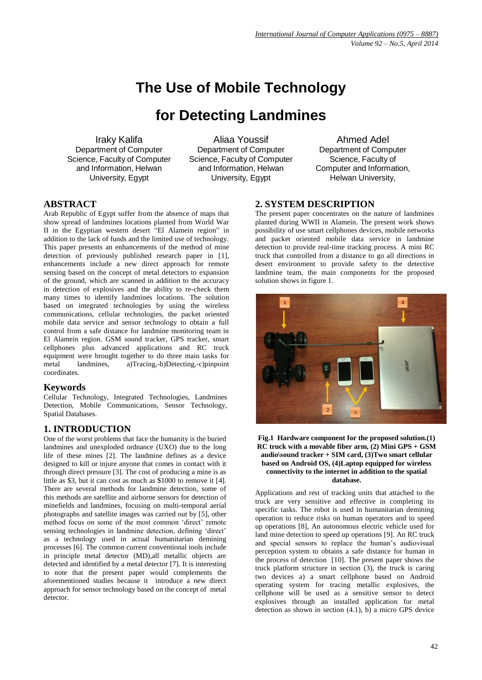# **The Use of Mobile Technology**

## **for Detecting Landmines**

Iraky Kalifa Department of Computer Science, Faculty of Computer and Information, Helwan University, Egypt

Aliaa Youssif Department of Computer Science, Faculty of Computer and Information, Helwan University, Egypt

Ahmed Adel Department of Computer Science, Faculty of Computer and Information, Helwan University,

## **ABSTRACT**

Arab Republic of Egypt suffer from the absence of maps that show spread of landmines locations planted from World War II in the Egyptian western desert "El Alamein region" in addition to the lack of funds and the limited use of technology. This paper presents an enhancements of the method of mine detection of previously published research paper in [1], enhancements include a new direct approach for remote sensing based on the concept of metal detectors to expansion of the ground, which are scanned in addition to the accuracy in detection of explosives and the ability to re-check them many times to identify landmines locations. The solution based on integrated technologies by using the wireless communications, cellular technologies, the packet oriented mobile data service and sensor technology to obtain a full control from a safe distance for landmine monitoring team in El Alamein region. GSM sound tracker, GPS tracker, smart cellphones plus advanced applications and RC truck equipment were brought together to do three main tasks for metal landmines, a)Tracing,-b)Detecting,-c)pinpoint coordinates.

#### **Keywords**

Cellular Technology, Integrated Technologies, Landmines Detection, Mobile Communications, Sensor Technology, Spatial Databases.

## **1. INTRODUCTION**

One of the worst problems that face the humanity is the buried landmines and unexploded ordnance (UXO) due to the long life of these mines [2]. The landmine defines as a device designed to kill or injure anyone that comes in contact with it through direct pressure [3]. The cost of producing a mine is as little as \$3, but it can cost as much as \$1000 to remove it [4]. There are several methods for landmine detection, some of this methods are satellite and airborne sensors for detection of minefields and landmines, focusing on multi-temporal aerial photographs and satellite images was carried out by [5], other method focus on some of the most common 'direct' remote sensing technologies in landmine detection, defining 'direct' as a technology used in actual humanitarian demining processes [6]. The common current conventional tools include in principle metal detector (MD),all metallic objects are detected and identified by a metal detector [7]. It is interesting to note that the present paper would complements the aforementioned studies because it introduce a new direct approach for sensor technology based on the concept of metal detector.

## **2. SYSTEM DESCRIPTION**

The present paper concentrates on the nature of landmines planted during WWII in Alamein. The present work shows possibility of use smart cellphones devices, mobile networks and packet oriented mobile data service in landmine detection to provide real-time tracking process. A mini RC truck that controlled from a distance to go all directions in desert environment to provide safety to the detective landmine team, the main components for the proposed solution shows in figure 1.



#### **Fig.1 Hardware component for the proposed solution.(1) RC truck with a movable fiber arm, (2) Mini GPS + GSM audio\sound tracker + SIM card, (3)Two smart cellular based on Android OS, (4)Laptop equipped for wireless connectivity to the internet in addition to the spatial database.**

Applications and rest of tracking units that attached to the truck are very sensitive and effective in completing its specific tasks. The robot is used in humanitarian demining operation to reduce risks on human operators and to speed up operations [8], An autonomous electric vehicle used for land mine detection to speed up operations [9]. An RC truck and special sensors to replace the human's audiovisual perception system to obtains a safe distance for human in the process of detection [10]. The present paper shows the truck platform structure in section (3), the truck is caring two devices a) a smart cellphone based on Android operating system for tracing metallic explosives, the cellphone will be used as a sensitive sensor to detect explosives through an installed application for metal detection as shown in section (4.1), b) a micro GPS device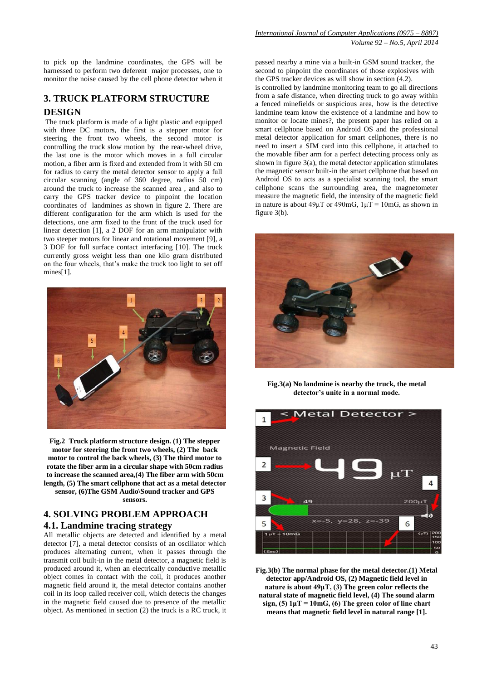to pick up the landmine coordinates, the GPS will be harnessed to perform two deferent major processes, one to monitor the noise caused by the cell phone detector when it

## **3. TRUCK PLATFORM STRUCTURE**

#### **DESIGN**

The truck platform is made of a light plastic and equipped with three DC motors, the first is a stepper motor for steering the front two wheels, the second motor is controlling the truck slow motion by the rear-wheel drive, the last one is the motor which moves in a full circular motion, a fiber arm is fixed and extended from it with 50 cm for radius to carry the metal detector sensor to apply a full circular scanning (angle of 360 degree, radius 50 cm) around the truck to increase the scanned area , and also to carry the GPS tracker device to pinpoint the location coordinates of landmines as shown in figure 2. There are different configuration for the arm which is used for the detections, one arm fixed to the front of the truck used for linear detection [1], a 2 DOF for an arm manipulator with two steeper motors for linear and rotational movement [9], a 3 DOF for full surface contact interfacing [10]. The truck currently gross weight less than one kilo gram distributed on the four wheels, that's make the truck too light to set off mines[1].



**Fig.2 Truck platform structure design. (1) The stepper motor for steering the front two wheels, (2) The back motor to control the back wheels, (3) The third motor to rotate the fiber arm in a circular shape with 50cm radius to increase the scanned area,(4) The fiber arm with 50cm length, (5) The smart cellphone that act as a metal detector sensor, (6)The GSM Audio\Sound tracker and GPS sensors.**

#### **4. SOLVING PROBLEM APPROACH 4.1. Landmine tracing strategy**

All metallic objects are detected and identified by a metal detector [7], a metal detector consists of an oscillator which produces alternating current, when it passes through the transmit coil built-in in the metal detector, a magnetic field is produced around it, when an electrically conductive metallic object comes in contact with the coil, it produces another magnetic field around it, the metal detector contains another coil in its loop called receiver coil, which detects the changes in the magnetic field caused due to presence of the metallic object. As mentioned in section (2) the truck is a RC truck, it passed nearby a mine via a built-in GSM sound tracker, the second to pinpoint the coordinates of those explosives with the GPS tracker devices as will show in section (4.2).

is controlled by landmine monitoring team to go all directions from a safe distance, when directing truck to go away within a fenced minefields or suspicious area, how is the detective landmine team know the existence of a landmine and how to monitor or locate mines?, the present paper has relied on a smart cellphone based on Android OS and the professional metal detector application for smart cellphones, there is no need to insert a SIM card into this cellphone, it attached to the movable fiber arm for a perfect detecting process only as shown in figure 3(a), the metal detector application stimulates the magnetic sensor built-in the smart cellphone that based on Android OS to acts as a specialist scanning tool, the smart cellphone scans the surrounding area, the magnetometer measure the magnetic field, the intensity of the magnetic field in nature is about  $49\mu$ T or  $490$ mG,  $1\mu$ T =  $10$ mG, as shown in figure 3(b).



**Fig.3(a) No landmine is nearby the truck, the metal detector's unite in a normal mode.**



**Fig.3(b) The normal phase for the metal detector.(1) Metal detector app/Androi[d OS,](http://en.wikipedia.org/wiki/Android_(operating_system)) (2) Magnetic field level in nature is about 49μT, (3) The green color reflects the natural state of magnetic field level, (4) The sound alarm**   $sign, (5) 1 \mu T = 10 mG, (6)$  The green color of line chart **means that magnetic field level in natural range [1].**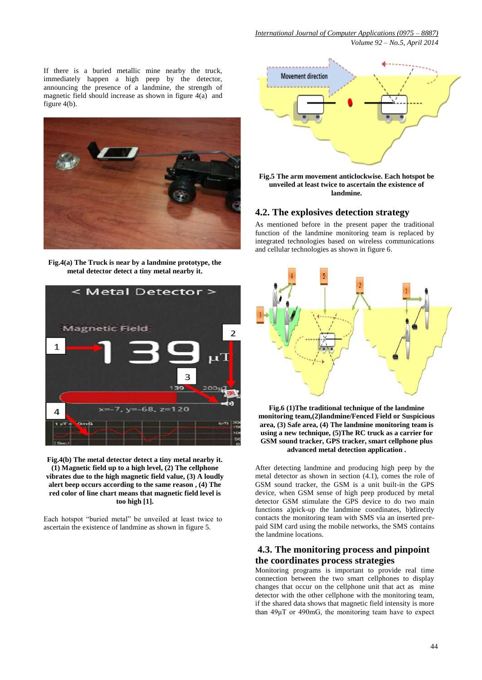If there is a buried metallic mine nearby the truck, immediately happen a high peep by the detector, announcing the presence of a landmine, the strength of magnetic field should increase as shown in figure 4(a) and figure 4(b).



**Fig.4(a) The Truck is near by a landmine prototype, the metal detector detect a tiny metal nearby it.**





Each hotspot "buried metal" be unveiled at least twice to ascertain the existence of landmine as shown in figure 5.





#### **4.2. The explosives detection strategy**

As mentioned before in the present paper the traditional function of the landmine monitoring team is replaced by integrated technologies based on wireless communications and cellular technologies as shown in figure 6.



**Fig.6 (1)The traditional technique of the landmine monitoring team,(2)landmine/Fenced Field or Suspicious area, (3) Safe area, (4) The landmine monitoring team is using a new technique, (5)The RC truck as a carrier for GSM sound tracker, GPS tracker, smart cellphone plus advanced metal detection application .**

After detecting landmine and producing high peep by the metal detector as shown in section (4.1), comes the role of GSM sound tracker, the GSM is a unit built-in the GPS device, when GSM sense of high peep produced by metal detector GSM stimulate the GPS device to do two main functions a)pick-up the landmine coordinates, b)directly contacts the monitoring team with SMS via an inserted prepaid SIM card using the mobile networks, the SMS contains the landmine locations.

### **4.3. The monitoring process and pinpoint the coordinates process strategies**

Monitoring programs is important to provide real time connection between the two smart cellphones to display changes that occur on the cellphone unit that act as mine detector with the other cellphone with the monitoring team, if the shared data shows that magnetic field intensity is more than 49μT or 490mG, the monitoring team have to expect